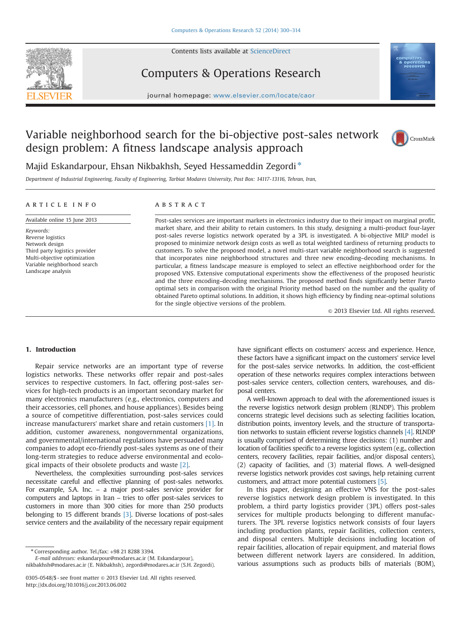

Contents lists available at [ScienceDirect](www.sciencedirect.com/science/journal/03050548)

## Computers & Operations Research



journal homepage: <www.elsevier.com/locate/caor>dinal  $\mathcal{C}$ 

# Variable neighborhood search for the bi-objective post-sales network design problem: A fitness landscape analysis approach



### Majid Eskandarpour, Ehsan Nikbakhsh, Seyed Hessameddin Zegordi<sup>\*</sup>

Department of Industrial Engineering, Faculty of Engineering, Tarbiat Modares University, Post Box: 14117-13116, Tehran, Iran,

### article info Available online 15 June 2013

Third party logistics provider Multi-objective optimization Variable neighborhood search Landscape analysis

Keywords: Reverse logistics Network design

### ABSTRACT

Post-sales services are important markets in electronics industry due to their impact on marginal profit, market share, and their ability to retain customers. In this study, designing a multi-product four-layer post-sales reverse logistics network operated by a 3PL is investigated. A bi-objective MILP model is proposed to minimize network design costs as well as total weighted tardiness of returning products to customers. To solve the proposed model, a novel multi-start variable neighborhood search is suggested that incorporates nine neighborhood structures and three new encoding–decoding mechanisms. In particular, a fitness landscape measure is employed to select an effective neighborhood order for the proposed VNS. Extensive computational experiments show the effectiveness of the proposed heuristic and the three encoding–decoding mechanisms. The proposed method finds significantly better Pareto optimal sets in comparison with the original Priority method based on the number and the quality of obtained Pareto optimal solutions. In addition, it shows high efficiency by finding near-optimal solutions for the single objective versions of the problem.

 $©$  2013 Elsevier Ltd. All rights reserved.

#### 1. Introduction

Repair service networks are an important type of reverse logistics networks. These networks offer repair and post-sales services to respective customers. In fact, offering post-sales services for high-tech products is an important secondary market for many electronics manufacturers (e.g., electronics, computers and their accessories, cell phones, and house appliances). Besides being a source of competitive differentiation, post-sales services could increase manufacturers' market share and retain customers [1]. In addition, customer awareness, nongovernmental organizations, and governmental/international regulations have persuaded many companies to adopt eco-friendly post-sales systems as one of their long-term strategies to reduce adverse environmental and ecological impacts of their obsolete products and waste [2].

Nevertheless, the complexities surrounding post-sales services necessitate careful and effective planning of post-sales networks. For example, S.A. Inc. – a major post-sales service provider for computers and laptops in Iran – tries to offer post-sales services to customers in more than 300 cities for more than 250 products belonging to 15 different brands [3]. Diverse locations of post-sales service centers and the availability of the necessary repair equipment

E-mail addresses: eskandarpour@modares.ac.ir (M. Eskandarpour), nikbakhsh@modares.ac.ir (E. Nikbakhsh), zegordi@modares.ac.ir (S.H. Zegordi). have significant effects on costumers' access and experience. Hence, these factors have a significant impact on the customers' service level for the post-sales service networks. In addition, the cost-efficient operation of these networks requires complex interactions between post-sales service centers, collection centers, warehouses, and disposal centers.

A well-known approach to deal with the aforementioned issues is the reverse logistics network design problem (RLNDP). This problem concerns strategic level decisions such as selecting facilities location, distribution points, inventory levels, and the structure of transportation networks to sustain efficient reverse logistics channels [4]. RLNDP is usually comprised of determining three decisions: (1) number and location of facilities specific to a reverse logistics system (e.g., collection centers, recovery facilities, repair facilities, and/or disposal centers), (2) capacity of facilities, and (3) material flows. A well-designed reverse logistics network provides cost savings, help retaining current customers, and attract more potential customers [5].

In this paper, designing an effective VNS for the post-sales reverse logistics network design problem is investigated. In this problem, a third party logistics provider (3PL) offers post-sales services for multiple products belonging to different manufacturers. The 3PL reverse logistics network consists of four layers including production plants, repair facilities, collection centers, and disposal centers. Multiple decisions including location of repair facilities, allocation of repair equipment, and material flows between different network layers are considered. In addition, various assumptions such as products bills of materials (BOM),

<sup>n</sup> Corresponding author. Tel./fax: +98 21 8288 3394.

<sup>0305-0548/\$ -</sup> see front matter  $\odot$  2013 Elsevier Ltd. All rights reserved. <http://dx.doi.org/10.1016/j.cor.2013.06.002>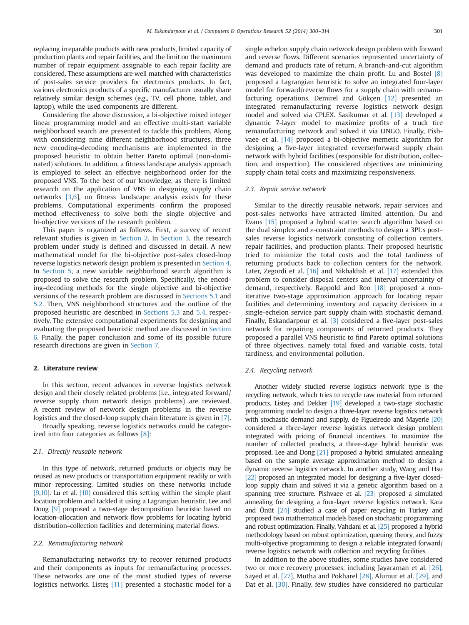replacing irreparable products with new products, limited capacity of production plants and repair facilities, and the limit on the maximum number of repair equipment assignable to each repair facility are considered. These assumptions are well matched with characteristics of post-sales service providers for electronics products. In fact, various electronics products of a specific manufacturer usually share relatively similar design schemes (e.g., TV, cell phone, tablet, and laptop), while the used components are different.

Considering the above discussion, a bi-objective mixed integer linear programming model and an effective multi-start variable neighborhood search are presented to tackle this problem. Along with considering nine different neighborhood structures, three new encoding–decoding mechanisms are implemented in the proposed heuristic to obtain better Pareto optimal (non-dominated) solutions. In addition, a fitness landscape analysis approach is employed to select an effective neighborhood order for the proposed VNS. To the best of our knowledge, as there is limited research on the application of VNS in designing supply chain networks [3,6], no fitness landscape analysis exists for these problems. Computational experiments confirm the proposed method effectiveness to solve both the single objective and bi-objective versions of the research problem.

This paper is organized as follows. First, a survey of recent relevant studies is given in Section 2. In Section 3, the research problem under study is defined and discussed in detail. A new mathematical model for the bi-objective post-sales closed-loop reverse logistics network design problem is presented in Section 4. In Section 5, a new variable neighborhood search algorithm is proposed to solve the research problem. Specifically, the encoding–decoding methods for the single objective and bi-objective versions of the research problem are discussed in Sections 5.1 and 5.2. Then, VNS neighborhood structures and the outline of the proposed heuristic are described in Sections 5.3 and 5.4, respectively. The extensive computational experiments for designing and evaluating the proposed heuristic method are discussed in Section 6. Finally, the paper conclusion and some of its possible future research directions are given in Section 7.

#### 2. Literature review

In this section, recent advances in reverse logistics network design and their closely related problems (i.e., integrated forward/ reverse supply chain network design problems) are reviewed. A recent review of network design problems in the reverse logistics and the closed-loop supply chain literature is given in [7].

Broadly speaking, reverse logistics networks could be categorized into four categories as follows [8]:

#### 2.1. Directly reusable network

In this type of network, returned products or objects may be reused as new products or transportation equipment readily or with minor reprocessing. Limited studies on these networks include [9,10]. Lu et al. [10] considered this setting within the simple plant location problem and tackled it using a Lagrangian heuristic. Lee and Dong [9] proposed a two-stage decomposition heuristic based on location–allocation and network flow problems for locating hybrid distribution–collection facilities and determining material flows.

#### 2.2. Remanufacturing network

Remanufacturing networks try to recover returned products and their components as inputs for remanufacturing processes. These networks are one of the most studied types of reverse logistics networks. Listes [11] presented a stochastic model for a

single echelon supply chain network design problem with forward and reverse flows. Different scenarios represented uncertainty of demand and products rate of return. A branch-and-cut algorithm was developed to maximize the chain profit. Lu and Bostel [8] proposed a Lagrangian heuristic to solve an integrated four-layer model for forward/reverse flows for a supply chain with remanufacturing operations. Demirel and Gökçen [12] presented an integrated remanufacturing reverse logistics network design model and solved via CPLEX. Sasikumar et al. [13] developed a dynamic 7-layer model to maximize profits of a truck tire remanufacturing network and solved it via LINGO. Finally, Pishvaee et al. [14] proposed a bi-objective memetic algorithm for designing a five-layer integrated reverse/forward supply chain network with hybrid facilities (responsible for distribution, collection, and inspection). The considered objectives are minimizing supply chain total costs and maximizing responsiveness.

#### 2.3. Repair service network

Similar to the directly reusable network, repair services and post-sales networks have attracted limited attention. Du and Evans [15] proposed a hybrid scatter search algorithm based on the dual simplex and  $\varepsilon$ -constraint methods to design a 3PL's postsales reverse logistics network consisting of collection centers, repair facilities, and production plants. Their proposed heuristic tried to minimize the total costs and the total tardiness of returning products back to collection centers for the network. Later, Zegordi et al. [16] and Nikbakhsh et al. [17] extended this problem to consider disposal centers and interval uncertainty of demand, respectively. Rappold and Roo [18] proposed a noniterative two-stage approximation approach for locating repair facilities and determining inventory and capacity decisions in a single-echelon service part supply chain with stochastic demand. Finally, Eskandarpour et al. [3] considered a five-layer post-sales network for repairing components of returned products. They proposed a parallel VNS heuristic to find Pareto optimal solutions of three objectives, namely total fixed and variable costs, total tardiness, and environmental pollution.

#### 2.4. Recycling network

Another widely studied reverse logistics network type is the recycling network, which tries to recycle raw material from returned products. Listeş and Dekker [19] developed a two-stage stochastic programming model to design a three-layer reverse logistics network with stochastic demand and supply. de Figueiredo and Mayerle [20] considered a three-layer reverse logistics network design problem integrated with pricing of financial incentives. To maximize the number of collected products, a three-stage hybrid heuristic was proposed. Lee and Dong [21] proposed a hybrid simulated annealing based on the sample average approximation method to design a dynamic reverse logistics network. In another study, Wang and Hsu [22] proposed an integrated model for designing a five-layer closedloop supply chain and solved it via a genetic algorithm based on a spanning tree structure. Pishvaee et al. [23] proposed a simulated annealing for designing a four-layer reverse logistics network. Kara and Önüt [24] studied a case of paper recycling in Turkey and proposed two mathematical models based on stochastic programming and robust optimization. Finally, Vahdani et al. [25] proposed a hybrid methodology based on robust optimization, queuing theory, and fuzzy multi-objective programming to design a reliable integrated forward/ reverse logistics network with collection and recycling facilities.

In addition to the above studies, some studies have considered two or more recovery processes, including Jayaraman et al. [26], Sayed et al. [27], Mutha and Pokharel [28], Alumur et al. [29], and Dat et al. [30]. Finally, few studies have considered no particular